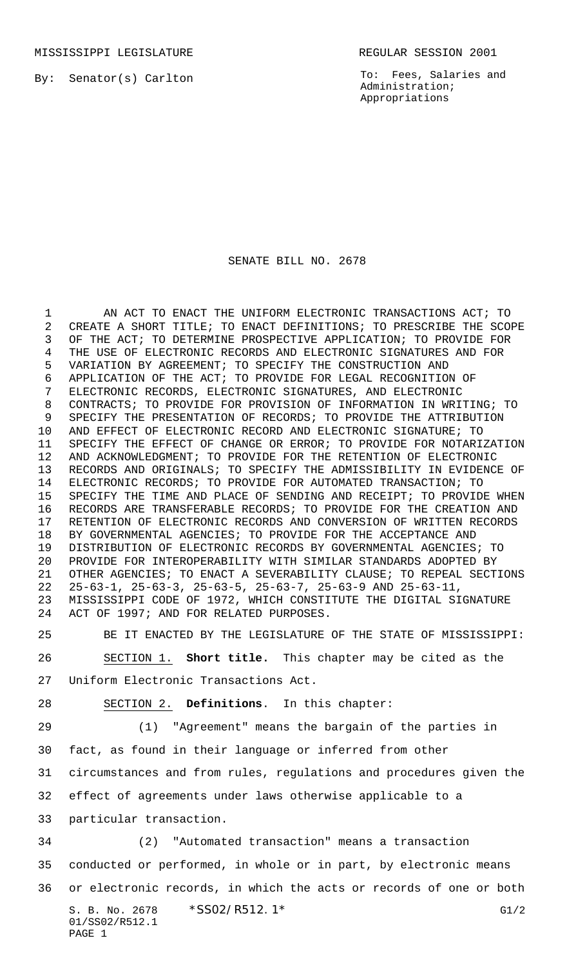MISSISSIPPI LEGISLATURE **REGULAR SESSION 2001** 

By: Senator(s) Carlton

To: Fees, Salaries and Administration; Appropriations

## SENATE BILL NO. 2678

 AN ACT TO ENACT THE UNIFORM ELECTRONIC TRANSACTIONS ACT; TO CREATE A SHORT TITLE; TO ENACT DEFINITIONS; TO PRESCRIBE THE SCOPE OF THE ACT; TO DETERMINE PROSPECTIVE APPLICATION; TO PROVIDE FOR THE USE OF ELECTRONIC RECORDS AND ELECTRONIC SIGNATURES AND FOR VARIATION BY AGREEMENT; TO SPECIFY THE CONSTRUCTION AND APPLICATION OF THE ACT; TO PROVIDE FOR LEGAL RECOGNITION OF ELECTRONIC RECORDS, ELECTRONIC SIGNATURES, AND ELECTRONIC CONTRACTS; TO PROVIDE FOR PROVISION OF INFORMATION IN WRITING; TO SPECIFY THE PRESENTATION OF RECORDS; TO PROVIDE THE ATTRIBUTION AND EFFECT OF ELECTRONIC RECORD AND ELECTRONIC SIGNATURE; TO SPECIFY THE EFFECT OF CHANGE OR ERROR; TO PROVIDE FOR NOTARIZATION AND ACKNOWLEDGMENT; TO PROVIDE FOR THE RETENTION OF ELECTRONIC RECORDS AND ORIGINALS; TO SPECIFY THE ADMISSIBILITY IN EVIDENCE OF ELECTRONIC RECORDS; TO PROVIDE FOR AUTOMATED TRANSACTION; TO SPECIFY THE TIME AND PLACE OF SENDING AND RECEIPT; TO PROVIDE WHEN RECORDS ARE TRANSFERABLE RECORDS; TO PROVIDE FOR THE CREATION AND RETENTION OF ELECTRONIC RECORDS AND CONVERSION OF WRITTEN RECORDS 18 BY GOVERNMENTAL AGENCIES; TO PROVIDE FOR THE ACCEPTANCE AND DISTRIBUTION OF ELECTRONIC RECORDS BY GOVERNMENTAL AGENCIES; TO PROVIDE FOR INTEROPERABILITY WITH SIMILAR STANDARDS ADOPTED BY OTHER AGENCIES; TO ENACT A SEVERABILITY CLAUSE; TO REPEAL SECTIONS 25-63-1, 25-63-3, 25-63-5, 25-63-7, 25-63-9 AND 25-63-11, MISSISSIPPI CODE OF 1972, WHICH CONSTITUTE THE DIGITAL SIGNATURE ACT OF 1997; AND FOR RELATED PURPOSES.

BE IT ENACTED BY THE LEGISLATURE OF THE STATE OF MISSISSIPPI:

SECTION 1. **Short title.** This chapter may be cited as the

Uniform Electronic Transactions Act.

SECTION 2. **Definitions**. In this chapter:

(1) "Agreement" means the bargain of the parties in

fact, as found in their language or inferred from other

circumstances and from rules, regulations and procedures given the

effect of agreements under laws otherwise applicable to a

particular transaction.

(2) "Automated transaction" means a transaction

conducted or performed, in whole or in part, by electronic means

or electronic records, in which the acts or records of one or both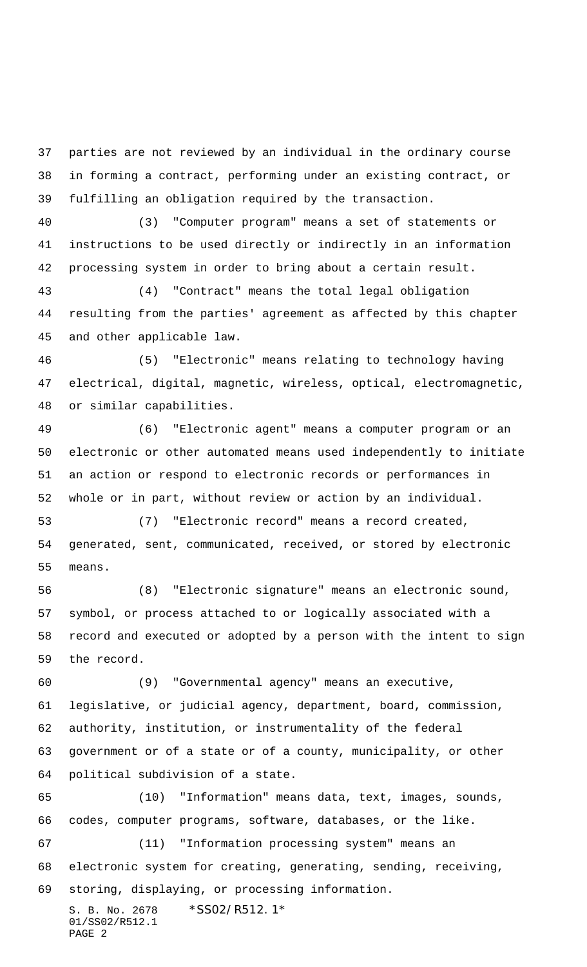parties are not reviewed by an individual in the ordinary course in forming a contract, performing under an existing contract, or fulfilling an obligation required by the transaction.

 (3) "Computer program" means a set of statements or instructions to be used directly or indirectly in an information processing system in order to bring about a certain result.

 (4) "Contract" means the total legal obligation resulting from the parties' agreement as affected by this chapter and other applicable law.

 (5) "Electronic" means relating to technology having electrical, digital, magnetic, wireless, optical, electromagnetic, or similar capabilities.

 (6) "Electronic agent" means a computer program or an electronic or other automated means used independently to initiate an action or respond to electronic records or performances in whole or in part, without review or action by an individual.

 (7) "Electronic record" means a record created, generated, sent, communicated, received, or stored by electronic means.

 (8) "Electronic signature" means an electronic sound, symbol, or process attached to or logically associated with a record and executed or adopted by a person with the intent to sign the record.

 (9) "Governmental agency" means an executive, legislative, or judicial agency, department, board, commission, authority, institution, or instrumentality of the federal government or of a state or of a county, municipality, or other political subdivision of a state.

S. B. No. 2678 \* SS02/R512.1\* 01/SS02/R512.1 PAGE 2 (10) "Information" means data, text, images, sounds, codes, computer programs, software, databases, or the like. (11) "Information processing system" means an electronic system for creating, generating, sending, receiving, storing, displaying, or processing information.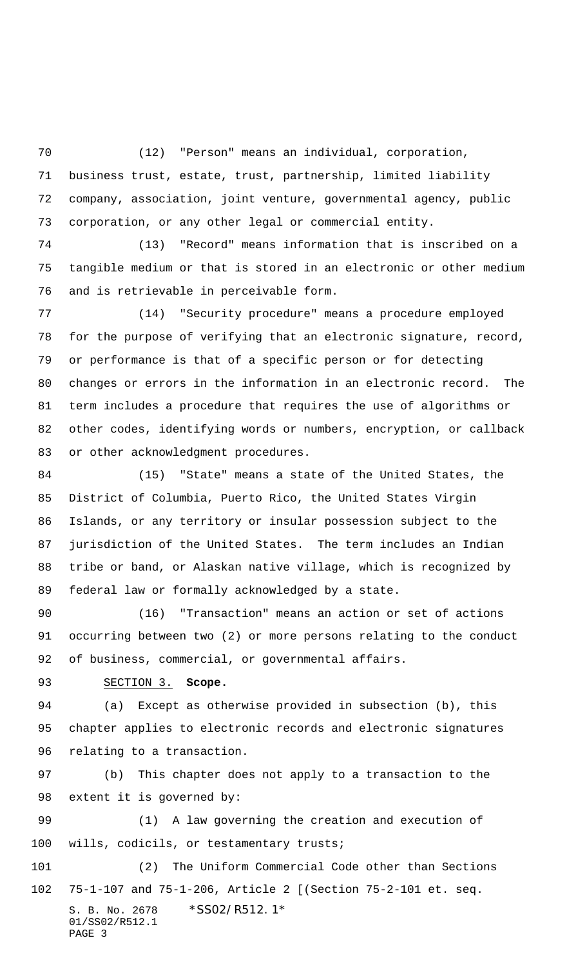(12) "Person" means an individual, corporation, business trust, estate, trust, partnership, limited liability company, association, joint venture, governmental agency, public corporation, or any other legal or commercial entity.

 (13) "Record" means information that is inscribed on a tangible medium or that is stored in an electronic or other medium and is retrievable in perceivable form.

 (14) "Security procedure" means a procedure employed for the purpose of verifying that an electronic signature, record, or performance is that of a specific person or for detecting changes or errors in the information in an electronic record. The term includes a procedure that requires the use of algorithms or other codes, identifying words or numbers, encryption, or callback or other acknowledgment procedures.

 (15) "State" means a state of the United States, the District of Columbia, Puerto Rico, the United States Virgin Islands, or any territory or insular possession subject to the jurisdiction of the United States. The term includes an Indian tribe or band, or Alaskan native village, which is recognized by federal law or formally acknowledged by a state.

 (16) "Transaction" means an action or set of actions occurring between two (2) or more persons relating to the conduct of business, commercial, or governmental affairs.

## SECTION 3. **Scope.**

 (a) Except as otherwise provided in subsection (b), this chapter applies to electronic records and electronic signatures relating to a transaction.

 (b) This chapter does not apply to a transaction to the extent it is governed by:

 (1) A law governing the creation and execution of 100 wills, codicils, or testamentary trusts;

S. B. No. 2678 \*SS02/R512.1\* 01/SS02/R512.1 PAGE 3 (2) The Uniform Commercial Code other than Sections 75-1-107 and 75-1-206, Article 2 [(Section 75-2-101 et. seq.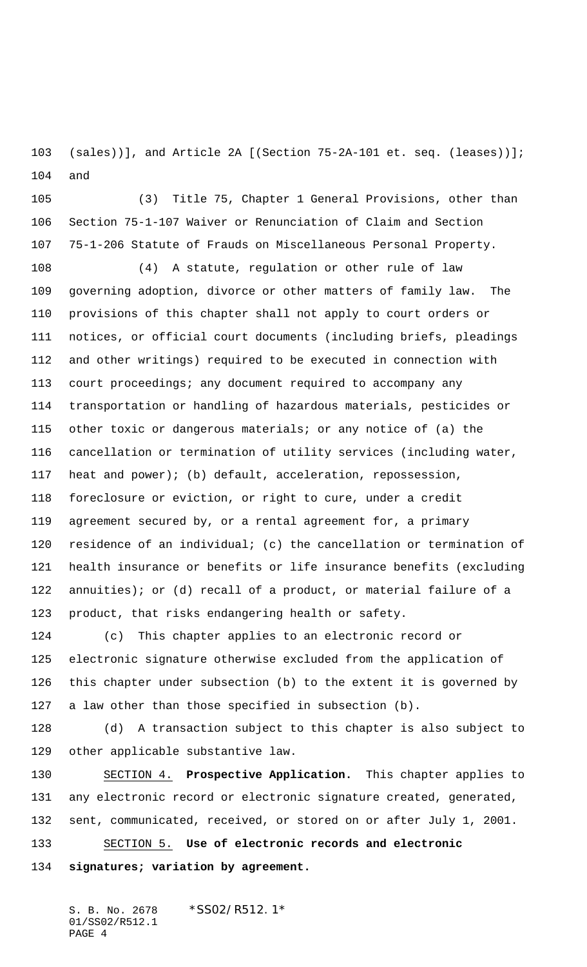(sales))], and Article 2A [(Section 75-2A-101 et. seq. (leases))]; and

 (3) Title 75, Chapter 1 General Provisions, other than Section 75-1-107 Waiver or Renunciation of Claim and Section 75-1-206 Statute of Frauds on Miscellaneous Personal Property.

 (4) A statute, regulation or other rule of law governing adoption, divorce or other matters of family law. The provisions of this chapter shall not apply to court orders or notices, or official court documents (including briefs, pleadings and other writings) required to be executed in connection with court proceedings; any document required to accompany any transportation or handling of hazardous materials, pesticides or other toxic or dangerous materials; or any notice of (a) the cancellation or termination of utility services (including water, heat and power); (b) default, acceleration, repossession, foreclosure or eviction, or right to cure, under a credit agreement secured by, or a rental agreement for, a primary residence of an individual; (c) the cancellation or termination of health insurance or benefits or life insurance benefits (excluding annuities); or (d) recall of a product, or material failure of a product, that risks endangering health or safety.

 (c) This chapter applies to an electronic record or electronic signature otherwise excluded from the application of this chapter under subsection (b) to the extent it is governed by a law other than those specified in subsection (b).

 (d) A transaction subject to this chapter is also subject to other applicable substantive law.

 SECTION 4. **Prospective Application.** This chapter applies to any electronic record or electronic signature created, generated, sent, communicated, received, or stored on or after July 1, 2001.

 SECTION 5. **Use of electronic records and electronic signatures; variation by agreement.**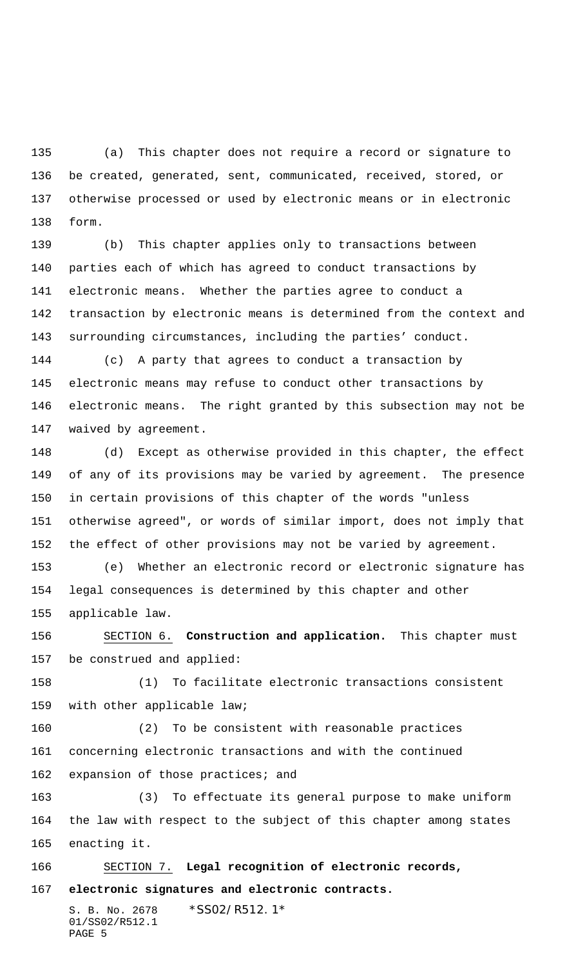(a) This chapter does not require a record or signature to be created, generated, sent, communicated, received, stored, or otherwise processed or used by electronic means or in electronic form.

 (b) This chapter applies only to transactions between parties each of which has agreed to conduct transactions by electronic means. Whether the parties agree to conduct a transaction by electronic means is determined from the context and surrounding circumstances, including the parties' conduct.

 (c) A party that agrees to conduct a transaction by electronic means may refuse to conduct other transactions by electronic means. The right granted by this subsection may not be waived by agreement.

 (d) Except as otherwise provided in this chapter, the effect of any of its provisions may be varied by agreement. The presence in certain provisions of this chapter of the words "unless otherwise agreed", or words of similar import, does not imply that the effect of other provisions may not be varied by agreement.

 (e) Whether an electronic record or electronic signature has legal consequences is determined by this chapter and other applicable law.

 SECTION 6. **Construction and application.** This chapter must be construed and applied:

 (1) To facilitate electronic transactions consistent with other applicable law;

 (2) To be consistent with reasonable practices concerning electronic transactions and with the continued 162 expansion of those practices; and

 (3) To effectuate its general purpose to make uniform the law with respect to the subject of this chapter among states enacting it.

SECTION 7. **Legal recognition of electronic records,**

**electronic signatures and electronic contracts.**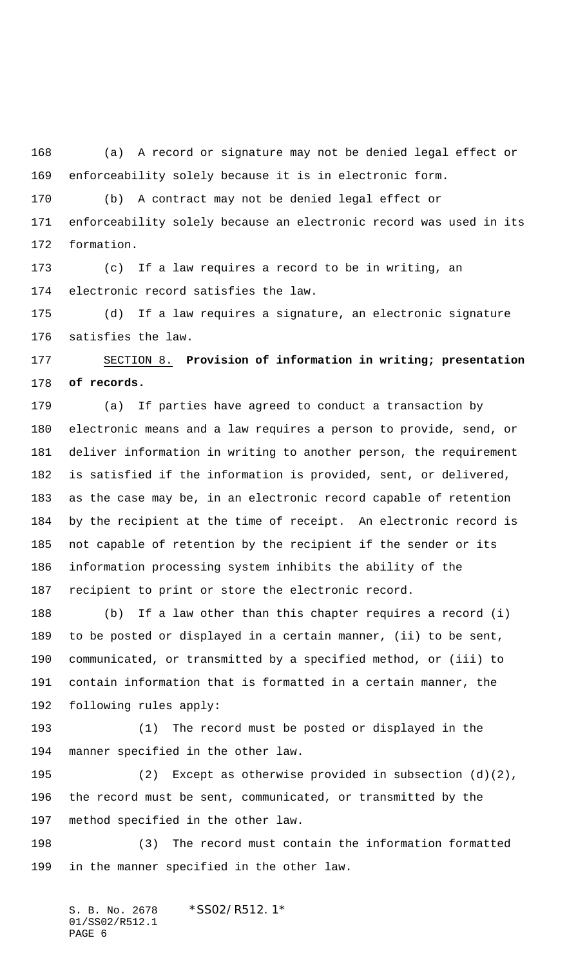(a) A record or signature may not be denied legal effect or enforceability solely because it is in electronic form.

 (b) A contract may not be denied legal effect or enforceability solely because an electronic record was used in its formation.

 (c) If a law requires a record to be in writing, an electronic record satisfies the law.

 (d) If a law requires a signature, an electronic signature satisfies the law.

 SECTION 8. **Provision of information in writing; presentation of records.**

 (a) If parties have agreed to conduct a transaction by electronic means and a law requires a person to provide, send, or deliver information in writing to another person, the requirement is satisfied if the information is provided, sent, or delivered, as the case may be, in an electronic record capable of retention by the recipient at the time of receipt. An electronic record is not capable of retention by the recipient if the sender or its information processing system inhibits the ability of the recipient to print or store the electronic record.

 (b) If a law other than this chapter requires a record (i) to be posted or displayed in a certain manner, (ii) to be sent, communicated, or transmitted by a specified method, or (iii) to contain information that is formatted in a certain manner, the following rules apply:

 (1) The record must be posted or displayed in the manner specified in the other law.

 (2) Except as otherwise provided in subsection (d)(2), the record must be sent, communicated, or transmitted by the method specified in the other law.

 (3) The record must contain the information formatted in the manner specified in the other law.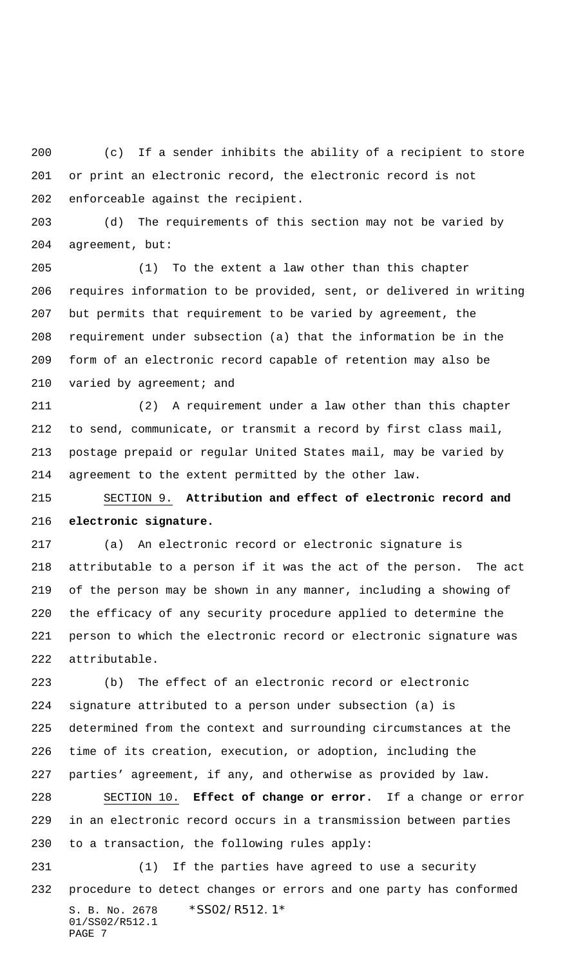(c) If a sender inhibits the ability of a recipient to store or print an electronic record, the electronic record is not enforceable against the recipient.

 (d) The requirements of this section may not be varied by agreement, but:

 (1) To the extent a law other than this chapter requires information to be provided, sent, or delivered in writing but permits that requirement to be varied by agreement, the requirement under subsection (a) that the information be in the form of an electronic record capable of retention may also be 210 varied by agreement; and

 (2) A requirement under a law other than this chapter to send, communicate, or transmit a record by first class mail, postage prepaid or regular United States mail, may be varied by agreement to the extent permitted by the other law.

 SECTION 9. **Attribution and effect of electronic record and electronic signature.**

 (a) An electronic record or electronic signature is attributable to a person if it was the act of the person. The act of the person may be shown in any manner, including a showing of the efficacy of any security procedure applied to determine the person to which the electronic record or electronic signature was attributable.

 (b) The effect of an electronic record or electronic signature attributed to a person under subsection (a) is determined from the context and surrounding circumstances at the time of its creation, execution, or adoption, including the parties' agreement, if any, and otherwise as provided by law.

 SECTION 10. **Effect of change or error.** If a change or error in an electronic record occurs in a transmission between parties to a transaction, the following rules apply:

S. B. No. 2678 \* SS02/R512.1\* 01/SS02/R512.1 PAGE 7 (1) If the parties have agreed to use a security procedure to detect changes or errors and one party has conformed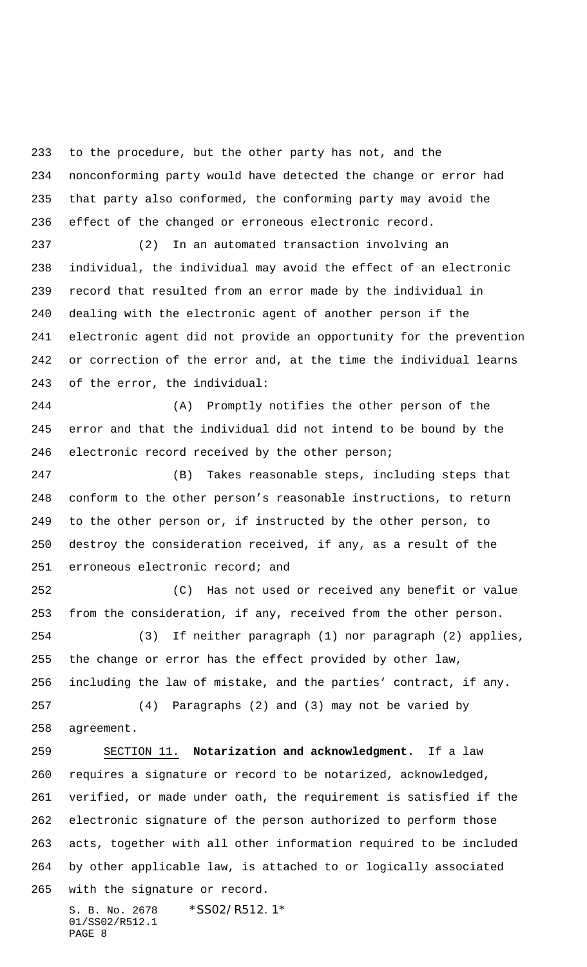to the procedure, but the other party has not, and the nonconforming party would have detected the change or error had that party also conformed, the conforming party may avoid the effect of the changed or erroneous electronic record.

 (2) In an automated transaction involving an individual, the individual may avoid the effect of an electronic record that resulted from an error made by the individual in dealing with the electronic agent of another person if the electronic agent did not provide an opportunity for the prevention or correction of the error and, at the time the individual learns of the error, the individual:

 (A) Promptly notifies the other person of the error and that the individual did not intend to be bound by the electronic record received by the other person;

 (B) Takes reasonable steps, including steps that conform to the other person's reasonable instructions, to return to the other person or, if instructed by the other person, to destroy the consideration received, if any, as a result of the erroneous electronic record; and

 (C) Has not used or received any benefit or value from the consideration, if any, received from the other person.

 (3) If neither paragraph (1) nor paragraph (2) applies, the change or error has the effect provided by other law, including the law of mistake, and the parties' contract, if any.

 (4) Paragraphs (2) and (3) may not be varied by agreement.

 SECTION 11. **Notarization and acknowledgment.** If a law requires a signature or record to be notarized, acknowledged, verified, or made under oath, the requirement is satisfied if the electronic signature of the person authorized to perform those acts, together with all other information required to be included by other applicable law, is attached to or logically associated with the signature or record.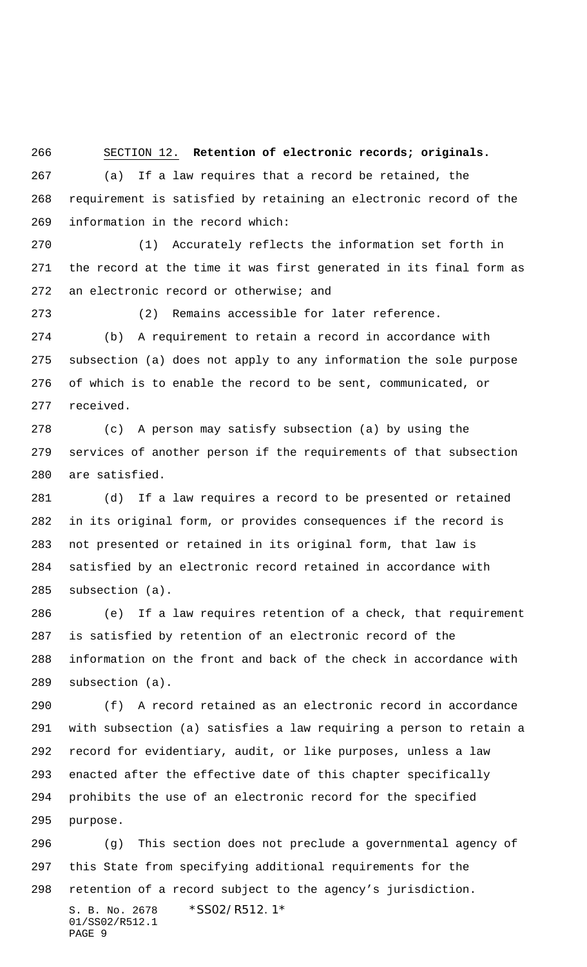SECTION 12. **Retention of electronic records; originals.**

 (a) If a law requires that a record be retained, the requirement is satisfied by retaining an electronic record of the information in the record which:

 (1) Accurately reflects the information set forth in the record at the time it was first generated in its final form as an electronic record or otherwise; and

(2) Remains accessible for later reference.

 (b) A requirement to retain a record in accordance with subsection (a) does not apply to any information the sole purpose of which is to enable the record to be sent, communicated, or received.

 (c) A person may satisfy subsection (a) by using the services of another person if the requirements of that subsection are satisfied.

 (d) If a law requires a record to be presented or retained in its original form, or provides consequences if the record is not presented or retained in its original form, that law is satisfied by an electronic record retained in accordance with subsection (a).

 (e) If a law requires retention of a check, that requirement is satisfied by retention of an electronic record of the information on the front and back of the check in accordance with subsection (a).

 (f) A record retained as an electronic record in accordance with subsection (a) satisfies a law requiring a person to retain a record for evidentiary, audit, or like purposes, unless a law enacted after the effective date of this chapter specifically prohibits the use of an electronic record for the specified purpose.

S. B. No. 2678 \* SS02/R512.1\* 01/SS02/R512.1 PAGE 9 (g) This section does not preclude a governmental agency of this State from specifying additional requirements for the retention of a record subject to the agency's jurisdiction.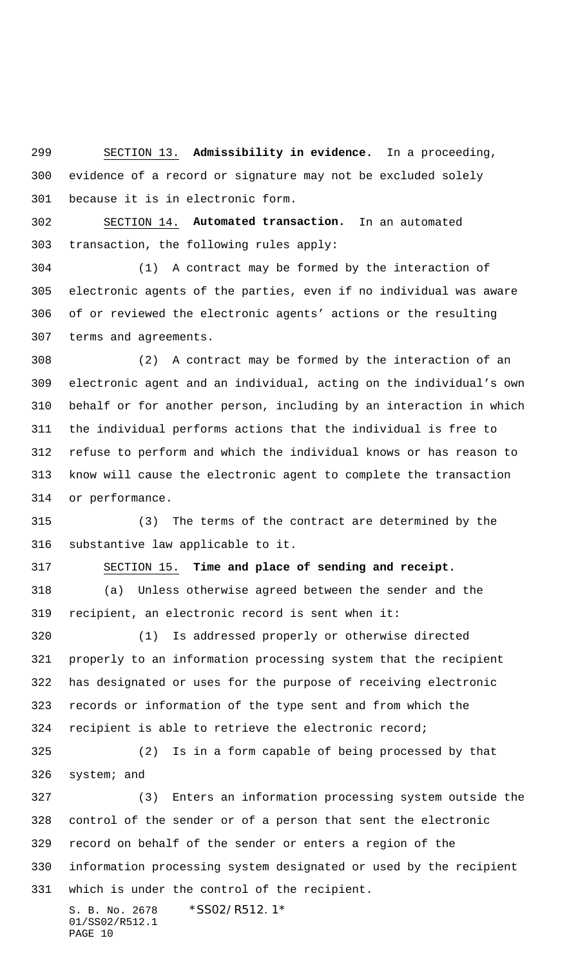SECTION 13. **Admissibility in evidence.** In a proceeding, evidence of a record or signature may not be excluded solely because it is in electronic form.

 SECTION 14. **Automated transaction.** In an automated transaction, the following rules apply:

 (1) A contract may be formed by the interaction of electronic agents of the parties, even if no individual was aware of or reviewed the electronic agents' actions or the resulting terms and agreements.

 (2) A contract may be formed by the interaction of an electronic agent and an individual, acting on the individual's own behalf or for another person, including by an interaction in which the individual performs actions that the individual is free to refuse to perform and which the individual knows or has reason to know will cause the electronic agent to complete the transaction or performance.

 (3) The terms of the contract are determined by the substantive law applicable to it.

## SECTION 15. **Time and place of sending and receipt.**

 (a) Unless otherwise agreed between the sender and the recipient, an electronic record is sent when it:

 (1) Is addressed properly or otherwise directed properly to an information processing system that the recipient has designated or uses for the purpose of receiving electronic records or information of the type sent and from which the recipient is able to retrieve the electronic record;

 (2) Is in a form capable of being processed by that system; and

 (3) Enters an information processing system outside the control of the sender or of a person that sent the electronic record on behalf of the sender or enters a region of the information processing system designated or used by the recipient which is under the control of the recipient.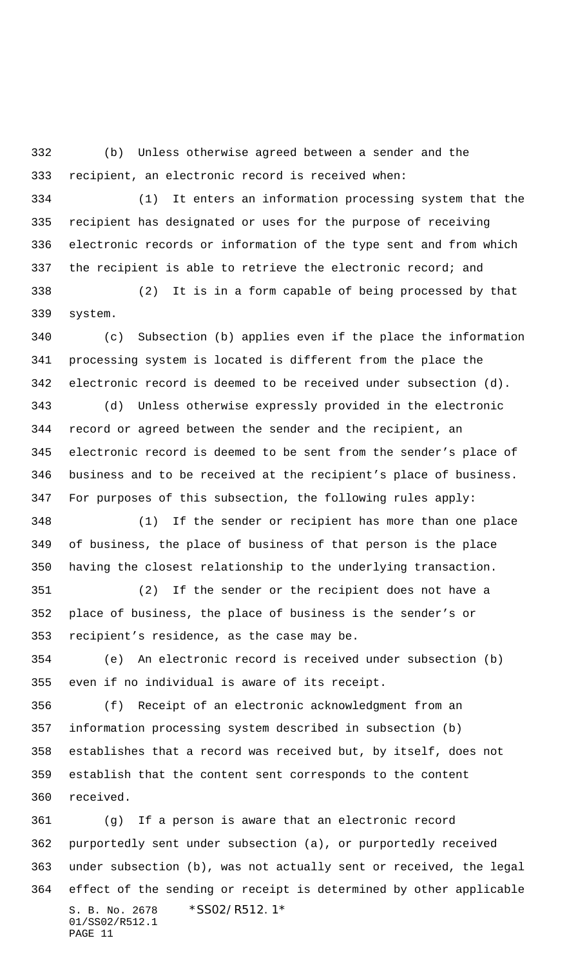(b) Unless otherwise agreed between a sender and the recipient, an electronic record is received when:

 (1) It enters an information processing system that the recipient has designated or uses for the purpose of receiving electronic records or information of the type sent and from which 337 the recipient is able to retrieve the electronic record; and

 (2) It is in a form capable of being processed by that system.

 (c) Subsection (b) applies even if the place the information processing system is located is different from the place the electronic record is deemed to be received under subsection (d).

 (d) Unless otherwise expressly provided in the electronic record or agreed between the sender and the recipient, an electronic record is deemed to be sent from the sender's place of business and to be received at the recipient's place of business. For purposes of this subsection, the following rules apply:

 (1) If the sender or recipient has more than one place of business, the place of business of that person is the place having the closest relationship to the underlying transaction.

 (2) If the sender or the recipient does not have a place of business, the place of business is the sender's or recipient's residence, as the case may be.

 (e) An electronic record is received under subsection (b) even if no individual is aware of its receipt.

 (f) Receipt of an electronic acknowledgment from an information processing system described in subsection (b) establishes that a record was received but, by itself, does not establish that the content sent corresponds to the content received.

S. B. No. 2678 \* SS02/R512.1\* 01/SS02/R512.1 PAGE 11 (g) If a person is aware that an electronic record purportedly sent under subsection (a), or purportedly received under subsection (b), was not actually sent or received, the legal effect of the sending or receipt is determined by other applicable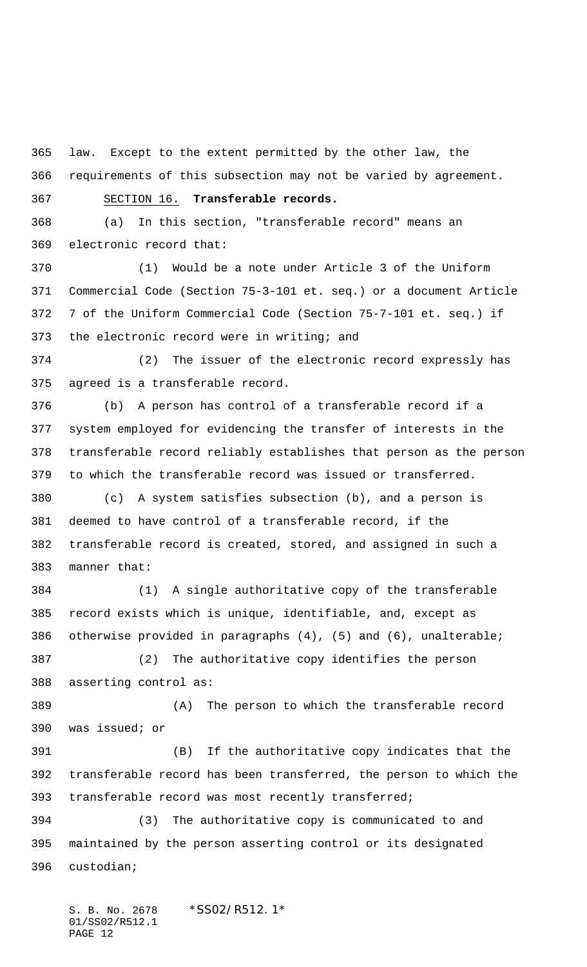law. Except to the extent permitted by the other law, the

requirements of this subsection may not be varied by agreement.

SECTION 16. **Transferable records.**

 (a) In this section, "transferable record" means an electronic record that:

 (1) Would be a note under Article 3 of the Uniform Commercial Code (Section 75-3-101 et. seq.) or a document Article 7 of the Uniform Commercial Code (Section 75-7-101 et. seq.) if 373 the electronic record were in writing; and

 (2) The issuer of the electronic record expressly has agreed is a transferable record.

 (b) A person has control of a transferable record if a system employed for evidencing the transfer of interests in the transferable record reliably establishes that person as the person to which the transferable record was issued or transferred.

 (c) A system satisfies subsection (b), and a person is deemed to have control of a transferable record, if the transferable record is created, stored, and assigned in such a manner that:

 (1) A single authoritative copy of the transferable record exists which is unique, identifiable, and, except as otherwise provided in paragraphs (4), (5) and (6), unalterable;

 (2) The authoritative copy identifies the person asserting control as:

 (A) The person to which the transferable record was issued; or

 (B) If the authoritative copy indicates that the transferable record has been transferred, the person to which the transferable record was most recently transferred;

 (3) The authoritative copy is communicated to and maintained by the person asserting control or its designated custodian;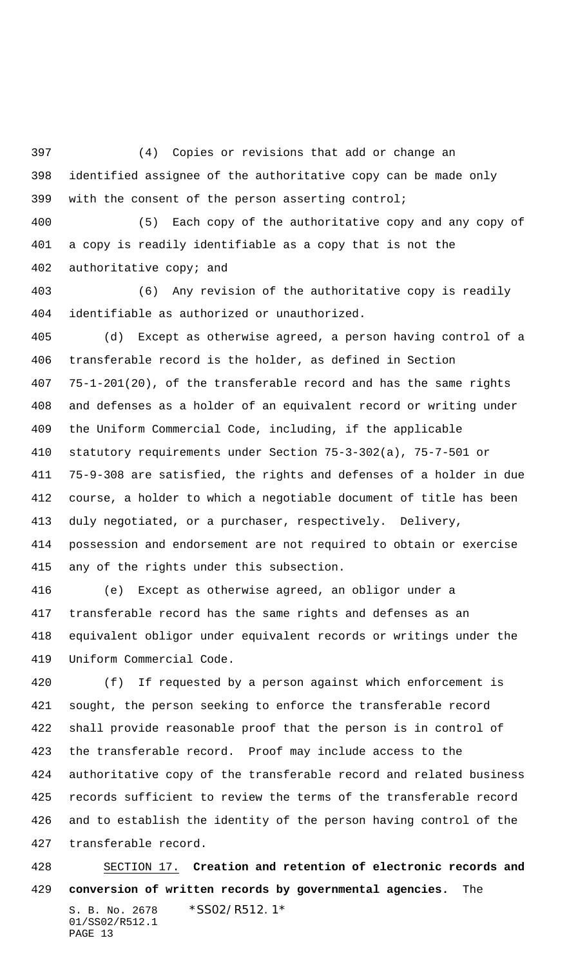(4) Copies or revisions that add or change an identified assignee of the authoritative copy can be made only with the consent of the person asserting control;

 (5) Each copy of the authoritative copy and any copy of a copy is readily identifiable as a copy that is not the authoritative copy; and

 (6) Any revision of the authoritative copy is readily identifiable as authorized or unauthorized.

 (d) Except as otherwise agreed, a person having control of a transferable record is the holder, as defined in Section 75-1-201(20), of the transferable record and has the same rights and defenses as a holder of an equivalent record or writing under the Uniform Commercial Code, including, if the applicable statutory requirements under Section 75-3-302(a), 75-7-501 or 75-9-308 are satisfied, the rights and defenses of a holder in due course, a holder to which a negotiable document of title has been duly negotiated, or a purchaser, respectively. Delivery, possession and endorsement are not required to obtain or exercise any of the rights under this subsection.

 (e) Except as otherwise agreed, an obligor under a transferable record has the same rights and defenses as an equivalent obligor under equivalent records or writings under the Uniform Commercial Code.

 (f) If requested by a person against which enforcement is sought, the person seeking to enforce the transferable record shall provide reasonable proof that the person is in control of the transferable record. Proof may include access to the authoritative copy of the transferable record and related business records sufficient to review the terms of the transferable record and to establish the identity of the person having control of the transferable record.

S. B. No. 2678 \* SS02/R512.1\* 01/SS02/R512.1 PAGE 13 SECTION 17. **Creation and retention of electronic records and conversion of written records by governmental agencies.** The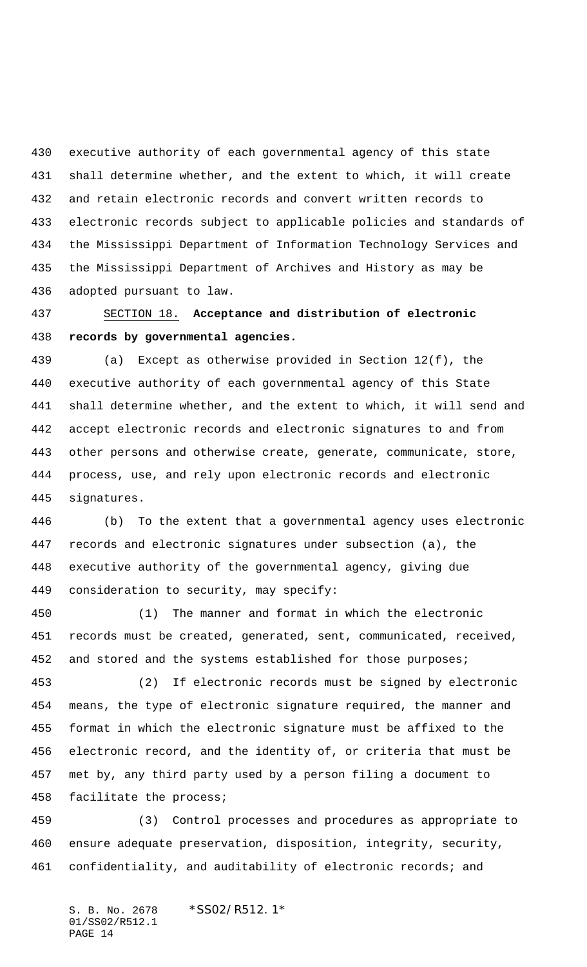executive authority of each governmental agency of this state shall determine whether, and the extent to which, it will create and retain electronic records and convert written records to electronic records subject to applicable policies and standards of the Mississippi Department of Information Technology Services and the Mississippi Department of Archives and History as may be adopted pursuant to law.

 SECTION 18. **Acceptance and distribution of electronic records by governmental agencies.**

 (a) Except as otherwise provided in Section 12(f), the executive authority of each governmental agency of this State shall determine whether, and the extent to which, it will send and accept electronic records and electronic signatures to and from other persons and otherwise create, generate, communicate, store, process, use, and rely upon electronic records and electronic signatures.

 (b) To the extent that a governmental agency uses electronic records and electronic signatures under subsection (a), the executive authority of the governmental agency, giving due consideration to security, may specify:

 (1) The manner and format in which the electronic records must be created, generated, sent, communicated, received, 452 and stored and the systems established for those purposes;

 (2) If electronic records must be signed by electronic means, the type of electronic signature required, the manner and format in which the electronic signature must be affixed to the electronic record, and the identity of, or criteria that must be met by, any third party used by a person filing a document to facilitate the process;

 (3) Control processes and procedures as appropriate to ensure adequate preservation, disposition, integrity, security, confidentiality, and auditability of electronic records; and